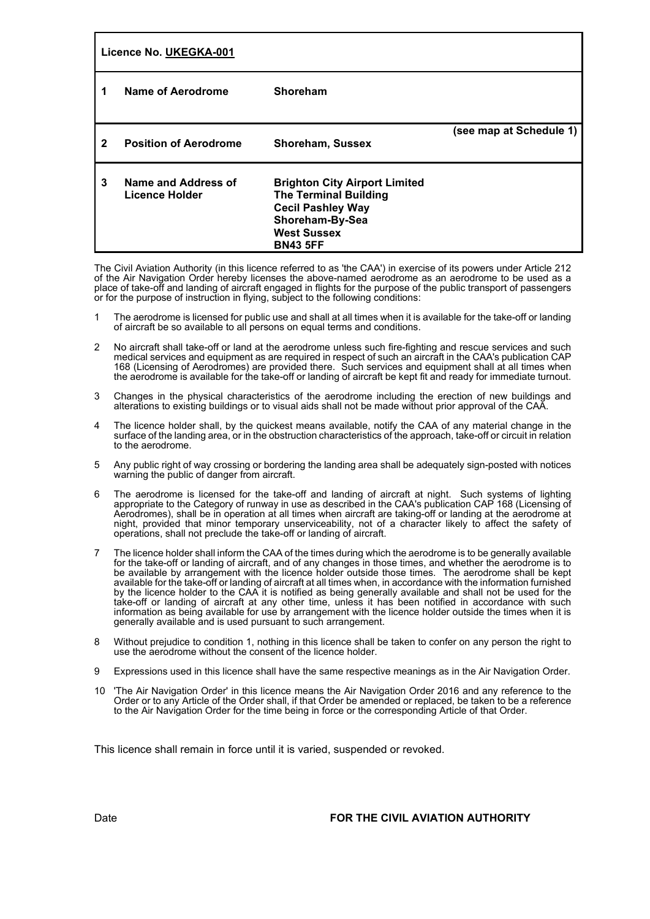| Licence No. UKEGKA-001 |                                       |                                                                                                                                                              |                         |  |  |
|------------------------|---------------------------------------|--------------------------------------------------------------------------------------------------------------------------------------------------------------|-------------------------|--|--|
|                        | Name of Aerodrome                     | Shoreham                                                                                                                                                     |                         |  |  |
| 2                      | <b>Position of Aerodrome</b>          | <b>Shoreham, Sussex</b>                                                                                                                                      | (see map at Schedule 1) |  |  |
| 3                      | Name and Address of<br>Licence Holder | <b>Brighton City Airport Limited</b><br><b>The Terminal Building</b><br><b>Cecil Pashley Way</b><br>Shoreham-By-Sea<br><b>West Sussex</b><br><b>BN43 5FF</b> |                         |  |  |

The Civil Aviation Authority (in this licence referred to as 'the CAA') in exercise of its powers under Article 212 of the Air Navigation Order hereby licenses the above-named aerodrome as an aerodrome to be used as a place of take-off and landing of aircraft engaged in flights for the purpose of the public transport of passengers or for the purpose of instruction in flying, subject to the following conditions:

- 1 The aerodrome is licensed for public use and shall at all times when it is available for the take-off or landing of aircraft be so available to all persons on equal terms and conditions.
- 2 No aircraft shall take-off or land at the aerodrome unless such fire-fighting and rescue services and such medical services and equipment as are required in respect of such an aircraft in the CAA's publication CAP 168 (Licensing of Aerodromes) are provided there. Such services and equipment shall at all times when the aerodrome is available for the take-off or landing of aircraft be kept fit and ready for immediate turnout.
- 3 Changes in the physical characteristics of the aerodrome including the erection of new buildings and alterations to existing buildings or to visual aids shall not be made without prior approval of the CAA.
- The licence holder shall, by the quickest means available, notify the CAA of any material change in the surface of the landing area, or in the obstruction characteristics of the approach, take-off or circuit in relation to the aerodrome.
- 5 Any public right of way crossing or bordering the landing area shall be adequately sign-posted with notices warning the public of danger from aircraft.
- 6 The aerodrome is licensed for the take-off and landing of aircraft at night. Such systems of lighting appropriate to the Category of runway in use as described in the CAA's publication CAP 168 (Licensing of Aerodromes), shall be in operation at all times when aircraft are taking-off or landing at the aerodrome at night, provided that minor temporary unserviceability, not of a character likely to affect the safety of operations, shall not preclude the take-off or landing of aircraft.
- 7 The licence holder shall inform the CAA of the times during which the aerodrome is to be generally available for the take-off or landing of aircraft, and of any changes in those times, and whether the aerodrome is to be available by arrangement with the licence holder outside those times. The aerodrome shall be kept available for the take-off or landing of aircraft at all times when, in accordance with the information furnished by the licence holder to the CAA it is notified as being generally available and shall not be used for the take-off or landing of aircraft at any other time, unless it has been notified in accordance with such information as being available for use by arrangement with the licence holder outside the times when it is generally available and is used pursuant to such arrangement.
- 8 Without prejudice to condition 1, nothing in this licence shall be taken to confer on any person the right to use the aerodrome without the consent of the licence holder.
- 9 Expressions used in this licence shall have the same respective meanings as in the Air Navigation Order.
- 10 'The Air Navigation Order' in this licence means the Air Navigation Order 2016 and any reference to the Order or to any Article of the Order shall, if that Order be amended or replaced, be taken to be a reference to the Air Navigation Order for the time being in force or the corresponding Article of that Order.

This licence shall remain in force until it is varied, suspended or revoked.

Date **FOR THE CIVIL AVIATION AUTHORITY**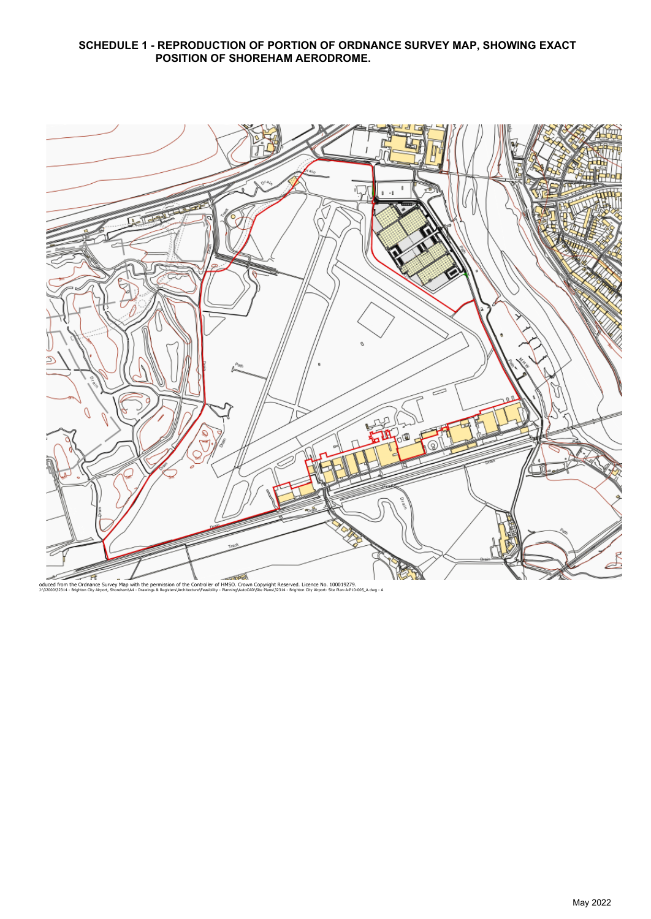## **SCHEDULE 1 - REPRODUCTION OF PORTION OF ORDNANCE SURVEY MAP, SHOWING EXACT POSITION OF SHOREHAM AERODROME.**

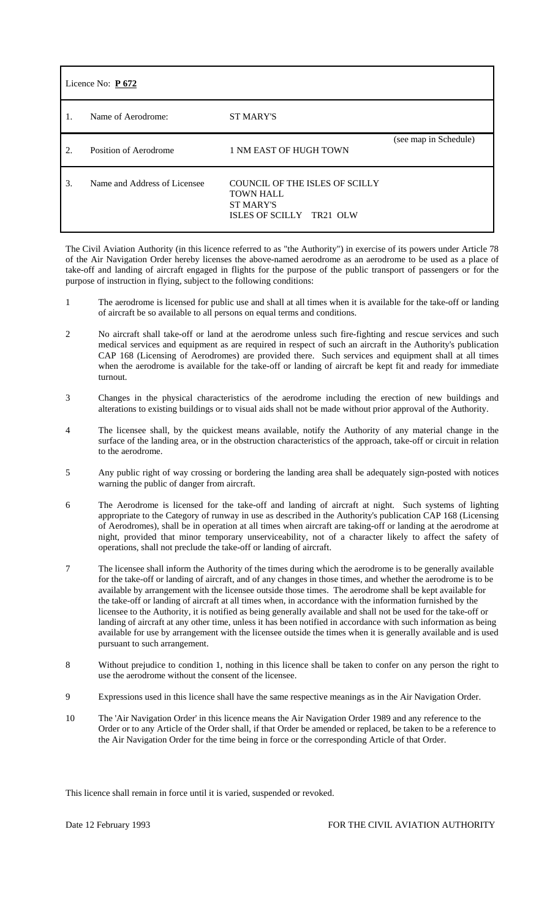| Licence No: $P 672$ |                              |                                                                                                    |                       |  |  |
|---------------------|------------------------------|----------------------------------------------------------------------------------------------------|-----------------------|--|--|
|                     | Name of Aerodrome:           | <b>ST MARY'S</b>                                                                                   |                       |  |  |
| $\overline{2}$ .    | Position of Aerodrome        | 1 NM EAST OF HUGH TOWN                                                                             | (see map in Schedule) |  |  |
| 3.                  | Name and Address of Licensee | COUNCIL OF THE ISLES OF SCILLY<br><b>TOWN HALL</b><br><b>ST MARY'S</b><br>ISLES OF SCILLY TR21 OLW |                       |  |  |

The Civil Aviation Authority (in this licence referred to as "the Authority") in exercise of its powers under Article 78 of the Air Navigation Order hereby licenses the above-named aerodrome as an aerodrome to be used as a place of take-off and landing of aircraft engaged in flights for the purpose of the public transport of passengers or for the purpose of instruction in flying, subject to the following conditions:

- 1 The aerodrome is licensed for public use and shall at all times when it is available for the take-off or landing of aircraft be so available to all persons on equal terms and conditions.
- 2 No aircraft shall take-off or land at the aerodrome unless such fire-fighting and rescue services and such medical services and equipment as are required in respect of such an aircraft in the Authority's publication CAP 168 (Licensing of Aerodromes) are provided there. Such services and equipment shall at all times when the aerodrome is available for the take-off or landing of aircraft be kept fit and ready for immediate turnout.
- 3 Changes in the physical characteristics of the aerodrome including the erection of new buildings and alterations to existing buildings or to visual aids shall not be made without prior approval of the Authority.
- 4 The licensee shall, by the quickest means available, notify the Authority of any material change in the surface of the landing area, or in the obstruction characteristics of the approach, take-off or circuit in relation to the aerodrome.
- 5 Any public right of way crossing or bordering the landing area shall be adequately sign-posted with notices warning the public of danger from aircraft.
- 6 The Aerodrome is licensed for the take-off and landing of aircraft at night. Such systems of lighting appropriate to the Category of runway in use as described in the Authority's publication CAP 168 (Licensing of Aerodromes), shall be in operation at all times when aircraft are taking-off or landing at the aerodrome at night, provided that minor temporary unserviceability, not of a character likely to affect the safety of operations, shall not preclude the take-off or landing of aircraft.
- 7 The licensee shall inform the Authority of the times during which the aerodrome is to be generally available for the take-off or landing of aircraft, and of any changes in those times, and whether the aerodrome is to be available by arrangement with the licensee outside those times. The aerodrome shall be kept available for the take-off or landing of aircraft at all times when, in accordance with the information furnished by the licensee to the Authority, it is notified as being generally available and shall not be used for the take-off or landing of aircraft at any other time, unless it has been notified in accordance with such information as being available for use by arrangement with the licensee outside the times when it is generally available and is used pursuant to such arrangement.
- 8 Without prejudice to condition 1, nothing in this licence shall be taken to confer on any person the right to use the aerodrome without the consent of the licensee.
- 9 Expressions used in this licence shall have the same respective meanings as in the Air Navigation Order.
- 10 The 'Air Navigation Order' in this licence means the Air Navigation Order 1989 and any reference to the Order or to any Article of the Order shall, if that Order be amended or replaced, be taken to be a reference to the Air Navigation Order for the time being in force or the corresponding Article of that Order.

This licence shall remain in force until it is varied, suspended or revoked.